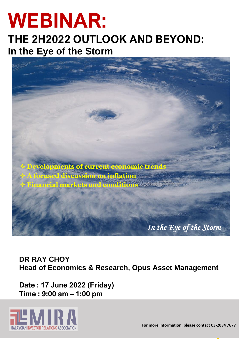# **WEBINAR:**

### **THE 2H2022 OUTLOOK AND BEYOND: In the Eye of the Storm**



**DR RAY CHOY Head of Economics & Research, Opus Asset Management**

**Date : 17 June 2022 (Friday) Time : 9:00 am – 1:00 pm**

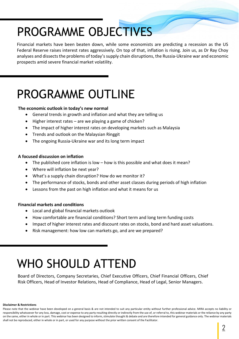# PROGRAMME OBJECTIVES

Financial markets have been beaten down, while some economists are predicting a recession as the US Federal Reserve raises interest rates aggressively. On top of that, inflation is rising. Join us, as Dr Ray Choy analyses and dissects the problems of today's supply chain disruptions, the Russia-Ukraine war and economic prospects amid severe financial market volatility.

# PROGRAMME OUTLINE

#### **The economic outlook in today's new normal**

- General trends in growth and inflation and what they are telling us
- Higher interest rates are we playing a game of chicken?
- The impact of higher interest rates on developing markets such as Malaysia
- Trends and outlook on the Malaysian Ringgit
- The ongoing Russia-Ukraine war and its long term impact

#### **A focused discussion on inflation**

- The published core inflation is low how is this possible and what does it mean?
- Where will inflation be next year?
- What's a supply chain disruption? How do we monitor it?
- The performance of stocks, bonds and other asset classes during periods of high inflation
- Lessons from the past on high inflation and what it means for us

#### **Financial markets and conditions**

- Local and global financial markets outlook
- How comfortable are financial conditions? Short term and long term funding costs
- 9.000 **The global views** • Impact of higher interest rates and discount rates on stocks, bond and hard asset valuations.
	- Risk management: how low can markets go, and are we prepared?

## WHO SHOULD ATTEND

• Key input costs to hedge against

Board of Directors, Company Secretaries, Chief Executive Officers, Chief Financial Officers, Chief Risk Officers, Head of Investor Relations, Head of Compliance, Head of Legal, Senior Managers.

#### **Disclaimer & Restrictions**

Please note that the webinar have been developed on a general basis & are not intended to suit any particular entity without further professional advice. MIRA accepts no liability or responsibility whatsoever for any loss, damage, cost or expense to any party resulting directly or indirectly from the use of, or referral to, this webinar materials or the reliance by any party on the same, either in whole or in part. This webinar has been designed to inform, stimulate thought & debate and are therefore intended for general guidance only. The webinar materials shall not be reproduced, either in whole or in part, or used for any purpose without the prior written consent of the Facilitator.